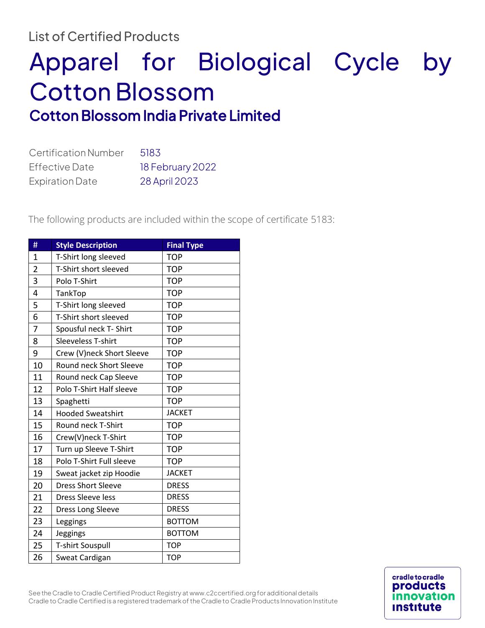## List of Certified Products

## Apparel for Biological Cycle by Cotton Blossom Cotton Blossom India Private Limited

| <b>Certification Number</b> | 5183             |
|-----------------------------|------------------|
| <b>Effective Date</b>       | 18 February 2022 |
| <b>Expiration Date</b>      | 28 April 2023    |

The following products are included within the scope of certificate 5183:

| #              | <b>Style Description</b>  | <b>Final Type</b> |
|----------------|---------------------------|-------------------|
| $\overline{1}$ | T-Shirt long sleeved      | <b>TOP</b>        |
| $\overline{2}$ | T-Shirt short sleeved     | <b>TOP</b>        |
| 3              | Polo T-Shirt              | <b>TOP</b>        |
| 4              | TankTop                   | <b>TOP</b>        |
| 5              | T-Shirt long sleeved      | <b>TOP</b>        |
| 6              | T-Shirt short sleeved     | <b>TOP</b>        |
| 7              | Spousful neck T- Shirt    | <b>TOP</b>        |
| 8              | Sleeveless T-shirt        | <b>TOP</b>        |
| 9              | Crew (V)neck Short Sleeve | <b>TOP</b>        |
| 10             | Round neck Short Sleeve   | <b>TOP</b>        |
| 11             | Round neck Cap Sleeve     | <b>TOP</b>        |
| 12             | Polo T-Shirt Half sleeve  | <b>TOP</b>        |
| 13             | Spaghetti                 | <b>TOP</b>        |
| 14             | <b>Hooded Sweatshirt</b>  | <b>JACKET</b>     |
| 15             | Round neck T-Shirt        | <b>TOP</b>        |
| 16             | Crew(V)neck T-Shirt       | <b>TOP</b>        |
| 17             | Turn up Sleeve T-Shirt    | <b>TOP</b>        |
| 18             | Polo T-Shirt Full sleeve  | <b>TOP</b>        |
| 19             | Sweat jacket zip Hoodie   | <b>JACKET</b>     |
| 20             | <b>Dress Short Sleeve</b> | <b>DRESS</b>      |
| 21             | Dress Sleeve less         | <b>DRESS</b>      |
| 22             | Dress Long Sleeve         | <b>DRESS</b>      |
| 23             | Leggings                  | <b>BOTTOM</b>     |
| 24             | Jeggings                  | <b>BOTTOM</b>     |
| 25             | <b>T-shirt Souspull</b>   | <b>TOP</b>        |
| 26             | Sweat Cardigan            | <b>TOP</b>        |